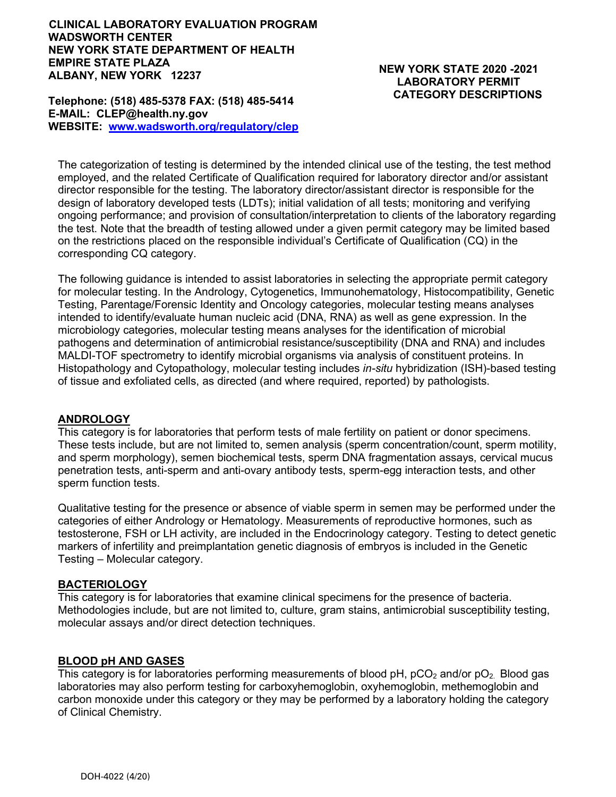#### **CLINICAL LABORATORY EVALUATION PROGRAM WADSWORTH CENTER NEW YORK STATE DEPARTMENT OF HEALTH EMPIRE STATE PLAZA ALBANY, NEW YORK 12237**

#### **Telephone: (518) 485-5378 FAX: (518) 485-5414 E-MAIL: CLEP@health.ny.gov WEBSITE: [www.wadsworth.org/regulatory/clep](http://www.wadsworth.org/regulatory/clep)**

# **NEW YORK STATE 2020 -2021 LABORATORY PERMIT CATEGORY DESCRIPTIONS**

The categorization of testing is determined by the intended clinical use of the testing, the test method employed, and the related Certificate of Qualification required for laboratory director and/or assistant director responsible for the testing. The laboratory director/assistant director is responsible for the design of laboratory developed tests (LDTs); initial validation of all tests; monitoring and verifying ongoing performance; and provision of consultation/interpretation to clients of the laboratory regarding the test. Note that the breadth of testing allowed under a given permit category may be limited based on the restrictions placed on the responsible individual's Certificate of Qualification (CQ) in the corresponding CQ category.

The following guidance is intended to assist laboratories in selecting the appropriate permit category for molecular testing. In the Andrology, Cytogenetics, Immunohematology, Histocompatibility, Genetic Testing, Parentage/Forensic Identity and Oncology categories, molecular testing means analyses intended to identify/evaluate human nucleic acid (DNA, RNA) as well as gene expression. In the microbiology categories, molecular testing means analyses for the identification of microbial pathogens and determination of antimicrobial resistance/susceptibility (DNA and RNA) and includes MALDI-TOF spectrometry to identify microbial organisms via analysis of constituent proteins. In Histopathology and Cytopathology, molecular testing includes *in-situ* hybridization (ISH)-based testing of tissue and exfoliated cells, as directed (and where required, reported) by pathologists.

# **ANDROLOGY**

This category is for laboratories that perform tests of male fertility on patient or donor specimens. These tests include, but are not limited to, semen analysis (sperm concentration/count, sperm motility, and sperm morphology), semen biochemical tests, sperm DNA fragmentation assays, cervical mucus penetration tests, anti-sperm and anti-ovary antibody tests, sperm-egg interaction tests, and other sperm function tests.

Qualitative testing for the presence or absence of viable sperm in semen may be performed under the categories of either Andrology or Hematology. Measurements of reproductive hormones, such as testosterone, FSH or LH activity, are included in the Endocrinology category. Testing to detect genetic markers of infertility and preimplantation genetic diagnosis of embryos is included in the Genetic Testing – Molecular category.

# **BACTERIOLOGY**

This category is for laboratories that examine clinical specimens for the presence of bacteria. Methodologies include, but are not limited to, culture, gram stains, antimicrobial susceptibility testing, molecular assays and/or direct detection techniques.

# **BLOOD pH AND GASES**

This category is for laboratories performing measurements of blood  $pH$ ,  $pCO<sub>2</sub>$  and/or  $pO<sub>2</sub>$ . Blood gas laboratories may also perform testing for carboxyhemoglobin, oxyhemoglobin, methemoglobin and carbon monoxide under this category or they may be performed by a laboratory holding the category of Clinical Chemistry.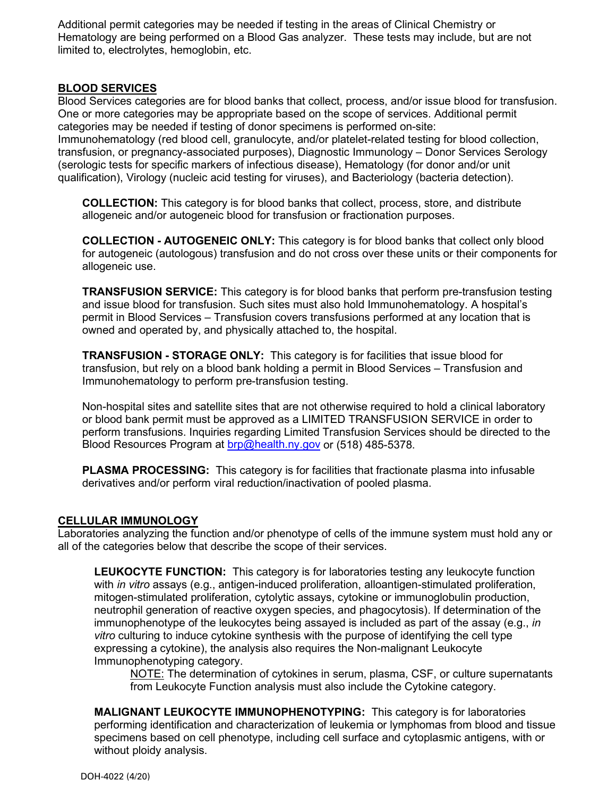Additional permit categories may be needed if testing in the areas of Clinical Chemistry or Hematology are being performed on a Blood Gas analyzer. These tests may include, but are not limited to, electrolytes, hemoglobin, etc.

# **BLOOD SERVICES**

Blood Services categories are for blood banks that collect, process, and/or issue blood for transfusion. One or more categories may be appropriate based on the scope of services. Additional permit categories may be needed if testing of donor specimens is performed on-site: Immunohematology (red blood cell, granulocyte, and/or platelet-related testing for blood collection,

transfusion, or pregnancy-associated purposes), Diagnostic Immunology – Donor Services Serology (serologic tests for specific markers of infectious disease), Hematology (for donor and/or unit qualification), Virology (nucleic acid testing for viruses), and Bacteriology (bacteria detection).

**COLLECTION:** This category is for blood banks that collect, process, store, and distribute allogeneic and/or autogeneic blood for transfusion or fractionation purposes.

**COLLECTION - AUTOGENEIC ONLY:** This category is for blood banks that collect only blood for autogeneic (autologous) transfusion and do not cross over these units or their components for allogeneic use.

**TRANSFUSION SERVICE:** This category is for blood banks that perform pre-transfusion testing and issue blood for transfusion. Such sites must also hold Immunohematology. A hospital's permit in Blood Services – Transfusion covers transfusions performed at any location that is owned and operated by, and physically attached to, the hospital.

**TRANSFUSION - STORAGE ONLY:** This category is for facilities that issue blood for transfusion, but rely on a blood bank holding a permit in Blood Services – Transfusion and Immunohematology to perform pre-transfusion testing.

Non-hospital sites and satellite sites that are not otherwise required to hold a clinical laboratory or blood bank permit must be approved as a LIMITED TRANSFUSION SERVICE in order to perform transfusions. Inquiries regarding Limited Transfusion Services should be directed to the Blood Resources Program at [brp@health.ny.gov](mailto:brp@health.ny.gov) or (518) 485-5378.

**PLASMA PROCESSING:** This category is for facilities that fractionate plasma into infusable derivatives and/or perform viral reduction/inactivation of pooled plasma.

#### **CELLULAR IMMUNOLOGY**

Laboratories analyzing the function and/or phenotype of cells of the immune system must hold any or all of the categories below that describe the scope of their services.

**LEUKOCYTE FUNCTION:** This category is for laboratories testing any leukocyte function with *in vitro* assays (e.g., antigen-induced proliferation, alloantigen-stimulated proliferation, mitogen-stimulated proliferation, cytolytic assays, cytokine or immunoglobulin production, neutrophil generation of reactive oxygen species, and phagocytosis). If determination of the immunophenotype of the leukocytes being assayed is included as part of the assay (e.g., *in vitro* culturing to induce cytokine synthesis with the purpose of identifying the cell type expressing a cytokine), the analysis also requires the Non-malignant Leukocyte Immunophenotyping category.

NOTE: The determination of cytokines in serum, plasma, CSF, or culture supernatants from Leukocyte Function analysis must also include the Cytokine category.

**MALIGNANT LEUKOCYTE IMMUNOPHENOTYPING:** This category is for laboratories performing identification and characterization of leukemia or lymphomas from blood and tissue specimens based on cell phenotype, including cell surface and cytoplasmic antigens, with or without ploidy analysis.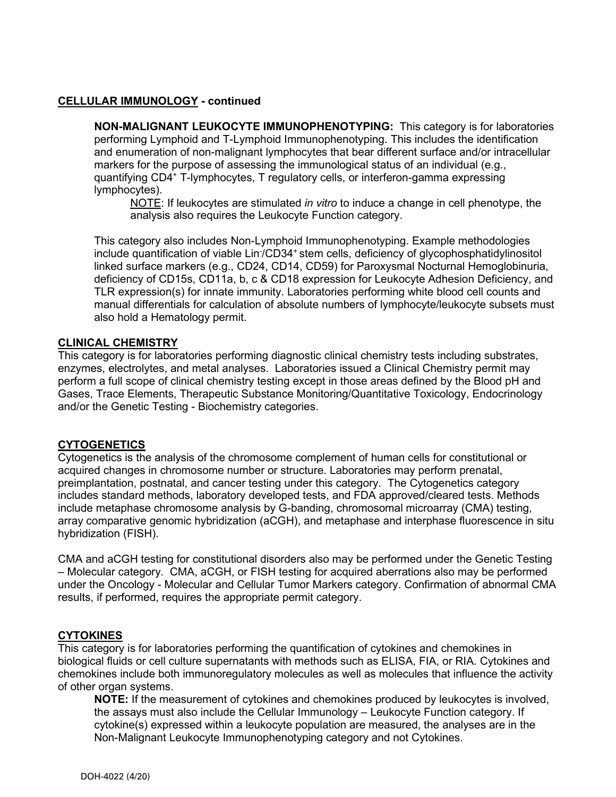#### **CELLULAR IMMUNOLOGY - continued**

**NON-MALIGNANT LEUKOCYTE IMMUNOPHENOTYPING:** This category is for laboratories performing Lymphoid and T-Lymphoid Immunophenotyping. This includes the identification and enumeration of non-malignant lymphocytes that bear different surface and/or intracellular markers for the purpose of assessing the immunological status of an individual (e.g., quantifying CD4+ T-lymphocytes, T regulatory cells, or interferon-gamma expressing lymphocytes).

NOTE: If leukocytes are stimulated *in vitro* to induce a change in cell phenotype, the analysis also requires the Leukocyte Function category.

This category also includes Non-Lymphoid Immunophenotyping. Example methodologies include quantification of viable Lin<sup>-</sup>/CD34<sup>+</sup> stem cells, deficiency of glycophosphatidylinositol linked surface markers (e.g., CD24, CD14, CD59) for Paroxysmal Nocturnal Hemoglobinuria, deficiency of CD15s, CD11a, b, c & CD18 expression for Leukocyte Adhesion Deficiency, and TLR expression(s) for innate immunity. Laboratories performing white blood cell counts and manual differentials for calculation of absolute numbers of lymphocyte/leukocyte subsets must also hold a Hematology permit.

#### **CLINICAL CHEMISTRY**

This category is for laboratories performing diagnostic clinical chemistry tests including substrates, enzymes, electrolytes, and metal analyses. Laboratories issued a Clinical Chemistry permit may perform a full scope of clinical chemistry testing except in those areas defined by the Blood pH and Gases, Trace Elements, Therapeutic Substance Monitoring/Quantitative Toxicology, Endocrinology and/or the Genetic Testing - Biochemistry categories.

# **CYTOGENETICS**

Cytogenetics is the analysis of the chromosome complement of human cells for constitutional or acquired changes in chromosome number or structure. Laboratories may perform prenatal, preimplantation, postnatal, and cancer testing under this category. The Cytogenetics category includes standard methods, laboratory developed tests, and FDA approved/cleared tests. Methods include metaphase chromosome analysis by G-banding, chromosomal microarray (CMA) testing, array comparative genomic hybridization (aCGH), and metaphase and interphase fluorescence in situ hybridization (FISH).

CMA and aCGH testing for constitutional disorders also may be performed under the Genetic Testing – Molecular category. CMA, aCGH, or FISH testing for acquired aberrations also may be performed under the Oncology - Molecular and Cellular Tumor Markers category. Confirmation of abnormal CMA results, if performed, requires the appropriate permit category.

# **CYTOKINES**

This category is for laboratories performing the quantification of cytokines and chemokines in biological fluids or cell culture supernatants with methods such as ELISA, FIA, or RIA. Cytokines and chemokines include both immunoregulatory molecules as well as molecules that influence the activity of other organ systems.

**NOTE:** If the measurement of cytokines and chemokines produced by leukocytes is involved, the assays must also include the Cellular Immunology – Leukocyte Function category. If cytokine(s) expressed within a leukocyte population are measured, the analyses are in the Non-Malignant Leukocyte Immunophenotyping category and not Cytokines.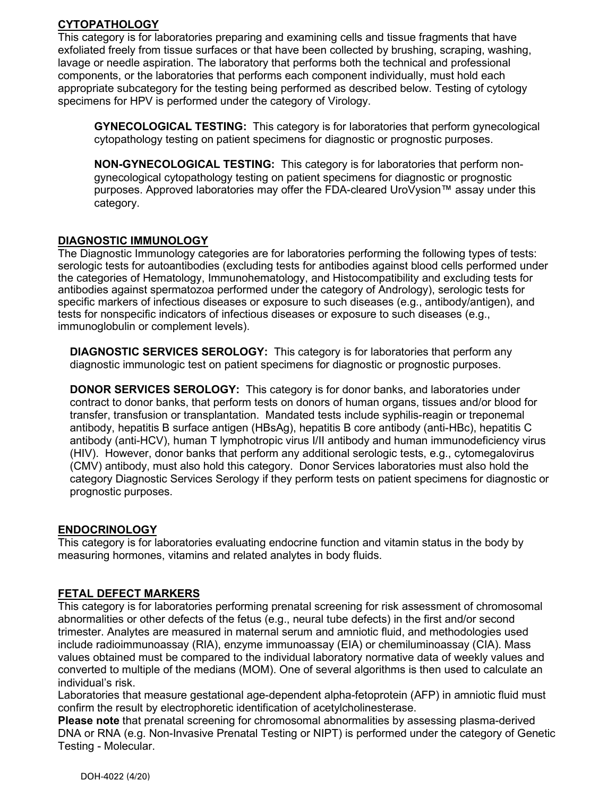# **CYTOPATHOLOGY**

This category is for laboratories preparing and examining cells and tissue fragments that have exfoliated freely from tissue surfaces or that have been collected by brushing, scraping, washing, lavage or needle aspiration. The laboratory that performs both the technical and professional components, or the laboratories that performs each component individually, must hold each appropriate subcategory for the testing being performed as described below. Testing of cytology specimens for HPV is performed under the category of Virology.

**GYNECOLOGICAL TESTING:** This category is for laboratories that perform gynecological cytopathology testing on patient specimens for diagnostic or prognostic purposes.

**NON-GYNECOLOGICAL TESTING:** This category is for laboratories that perform nongynecological cytopathology testing on patient specimens for diagnostic or prognostic purposes. Approved laboratories may offer the FDA-cleared UroVysion™ assay under this category.

# **DIAGNOSTIC IMMUNOLOGY**

The Diagnostic Immunology categories are for laboratories performing the following types of tests: serologic tests for autoantibodies (excluding tests for antibodies against blood cells performed under the categories of Hematology, Immunohematology, and Histocompatibility and excluding tests for antibodies against spermatozoa performed under the category of Andrology), serologic tests for specific markers of infectious diseases or exposure to such diseases (e.g., antibody/antigen), and tests for nonspecific indicators of infectious diseases or exposure to such diseases (e.g., immunoglobulin or complement levels).

**DIAGNOSTIC SERVICES SEROLOGY:** This category is for laboratories that perform any diagnostic immunologic test on patient specimens for diagnostic or prognostic purposes.

**DONOR SERVICES SEROLOGY:** This category is for donor banks, and laboratories under contract to donor banks, that perform tests on donors of human organs, tissues and/or blood for transfer, transfusion or transplantation. Mandated tests include syphilis-reagin or treponemal antibody, hepatitis B surface antigen (HBsAg), hepatitis B core antibody (anti-HBc), hepatitis C antibody (anti-HCV), human T lymphotropic virus I/II antibody and human immunodeficiency virus (HIV). However, donor banks that perform any additional serologic tests, e.g., cytomegalovirus (CMV) antibody, must also hold this category. Donor Services laboratories must also hold the category Diagnostic Services Serology if they perform tests on patient specimens for diagnostic or prognostic purposes.

# **ENDOCRINOLOGY**

This category is for laboratories evaluating endocrine function and vitamin status in the body by measuring hormones, vitamins and related analytes in body fluids.

# **FETAL DEFECT MARKERS**

This category is for laboratories performing prenatal screening for risk assessment of chromosomal abnormalities or other defects of the fetus (e.g., neural tube defects) in the first and/or second trimester. Analytes are measured in maternal serum and amniotic fluid, and methodologies used include radioimmunoassay (RIA), enzyme immunoassay (EIA) or chemiluminoassay (CIA). Mass values obtained must be compared to the individual laboratory normative data of weekly values and converted to multiple of the medians (MOM). One of several algorithms is then used to calculate an individual's risk.

Laboratories that measure gestational age-dependent alpha-fetoprotein (AFP) in amniotic fluid must confirm the result by electrophoretic identification of acetylcholinesterase.

**Please note** that prenatal screening for chromosomal abnormalities by assessing plasma-derived DNA or RNA (e.g. Non-Invasive Prenatal Testing or NIPT) is performed under the category of Genetic Testing - Molecular.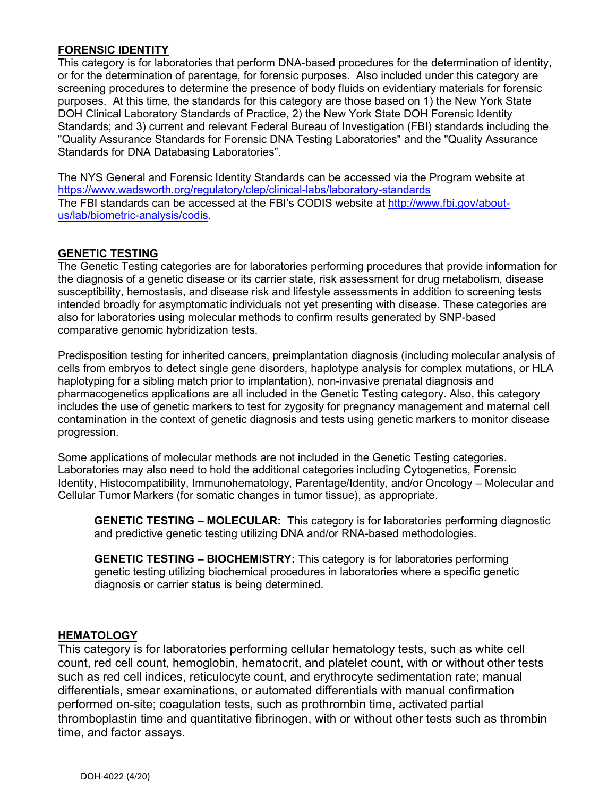# **FORENSIC IDENTITY**

This category is for laboratories that perform DNA-based procedures for the determination of identity, or for the determination of parentage, for forensic purposes. Also included under this category are screening procedures to determine the presence of body fluids on evidentiary materials for forensic purposes. At this time, the standards for this category are those based on 1) the New York State DOH Clinical Laboratory Standards of Practice, 2) the New York State DOH Forensic Identity Standards; and 3) current and relevant Federal Bureau of Investigation (FBI) standards including the "Quality Assurance Standards for Forensic DNA Testing Laboratories" and the "Quality Assurance Standards for DNA Databasing Laboratories".

The NYS General and Forensic Identity Standards can be accessed via the Program website at <https://www.wadsworth.org/regulatory/clep/clinical-labs/laboratory-standards> The FBI standards can be accessed at the FBI's CODIS website at [http://www.fbi.gov/about](http://www.fbi.gov/about-us/lab/biometric-analysis/codis)[us/lab/biometric-analysis/codis.](http://www.fbi.gov/about-us/lab/biometric-analysis/codis)

#### **GENETIC TESTING**

The Genetic Testing categories are for laboratories performing procedures that provide information for the diagnosis of a genetic disease or its carrier state, risk assessment for drug metabolism, disease susceptibility, hemostasis, and disease risk and lifestyle assessments in addition to screening tests intended broadly for asymptomatic individuals not yet presenting with disease. These categories are also for laboratories using molecular methods to confirm results generated by SNP-based comparative genomic hybridization tests.

Predisposition testing for inherited cancers, preimplantation diagnosis (including molecular analysis of cells from embryos to detect single gene disorders, haplotype analysis for complex mutations, or HLA haplotyping for a sibling match prior to implantation), non-invasive prenatal diagnosis and pharmacogenetics applications are all included in the Genetic Testing category. Also, this category includes the use of genetic markers to test for zygosity for pregnancy management and maternal cell contamination in the context of genetic diagnosis and tests using genetic markers to monitor disease progression.

Some applications of molecular methods are not included in the Genetic Testing categories. Laboratories may also need to hold the additional categories including Cytogenetics, Forensic Identity, Histocompatibility, Immunohematology, Parentage/Identity, and/or Oncology – Molecular and Cellular Tumor Markers (for somatic changes in tumor tissue), as appropriate.

**GENETIC TESTING – MOLECULAR:** This category is for laboratories performing diagnostic and predictive genetic testing utilizing DNA and/or RNA-based methodologies.

**GENETIC TESTING – BIOCHEMISTRY:** This category is for laboratories performing genetic testing utilizing biochemical procedures in laboratories where a specific genetic diagnosis or carrier status is being determined.

# **HEMATOLOGY**

This category is for laboratories performing cellular hematology tests, such as white cell count, red cell count, hemoglobin, hematocrit, and platelet count, with or without other tests such as red cell indices, reticulocyte count, and erythrocyte sedimentation rate; manual differentials, smear examinations, or automated differentials with manual confirmation performed on-site; coagulation tests, such as prothrombin time, activated partial thromboplastin time and quantitative fibrinogen, with or without other tests such as thrombin time, and factor assays.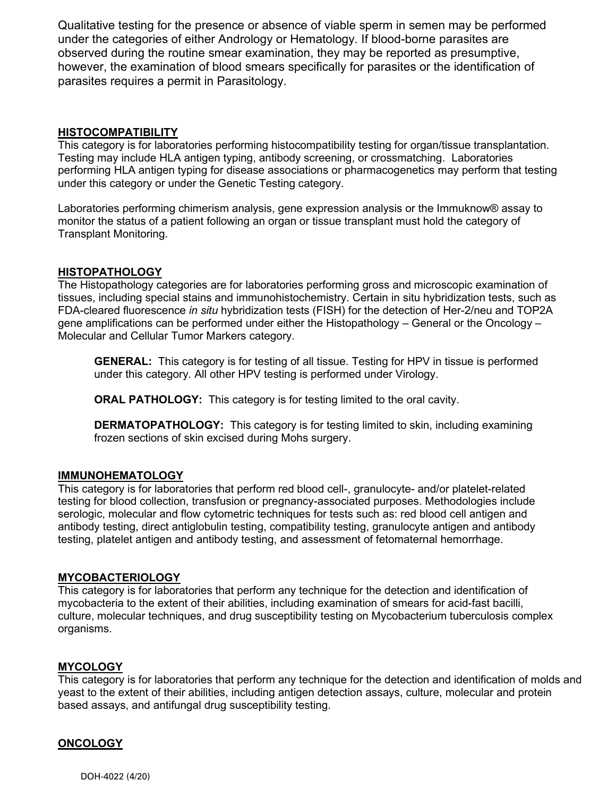Qualitative testing for the presence or absence of viable sperm in semen may be performed under the categories of either Andrology or Hematology. If blood-borne parasites are observed during the routine smear examination, they may be reported as presumptive, however, the examination of blood smears specifically for parasites or the identification of parasites requires a permit in Parasitology.

#### **HISTOCOMPATIBILITY**

This category is for laboratories performing histocompatibility testing for organ/tissue transplantation. Testing may include HLA antigen typing, antibody screening, or crossmatching. Laboratories performing HLA antigen typing for disease associations or pharmacogenetics may perform that testing under this category or under the Genetic Testing category.

Laboratories performing chimerism analysis, gene expression analysis or the Immuknow® assay to monitor the status of a patient following an organ or tissue transplant must hold the category of Transplant Monitoring.

#### **HISTOPATHOLOGY**

The Histopathology categories are for laboratories performing gross and microscopic examination of tissues, including special stains and immunohistochemistry. Certain in situ hybridization tests, such as FDA-cleared fluorescence *in situ* hybridization tests (FISH) for the detection of Her-2/neu and TOP2A gene amplifications can be performed under either the Histopathology – General or the Oncology – Molecular and Cellular Tumor Markers category.

**GENERAL:** This category is for testing of all tissue. Testing for HPV in tissue is performed under this category. All other HPV testing is performed under Virology.

**ORAL PATHOLOGY:** This category is for testing limited to the oral cavity.

**DERMATOPATHOLOGY:** This category is for testing limited to skin, including examining frozen sections of skin excised during Mohs surgery.

#### **IMMUNOHEMATOLOGY**

This category is for laboratories that perform red blood cell-, granulocyte- and/or platelet-related testing for blood collection, transfusion or pregnancy-associated purposes. Methodologies include serologic, molecular and flow cytometric techniques for tests such as: red blood cell antigen and antibody testing, direct antiglobulin testing, compatibility testing, granulocyte antigen and antibody testing, platelet antigen and antibody testing, and assessment of fetomaternal hemorrhage.

#### **MYCOBACTERIOLOGY**

This category is for laboratories that perform any technique for the detection and identification of mycobacteria to the extent of their abilities, including examination of smears for acid-fast bacilli, culture, molecular techniques, and drug susceptibility testing on Mycobacterium tuberculosis complex organisms.

# **MYCOLOGY**

This category is for laboratories that perform any technique for the detection and identification of molds and yeast to the extent of their abilities, including antigen detection assays, culture, molecular and protein based assays, and antifungal drug susceptibility testing.

#### **ONCOLOGY**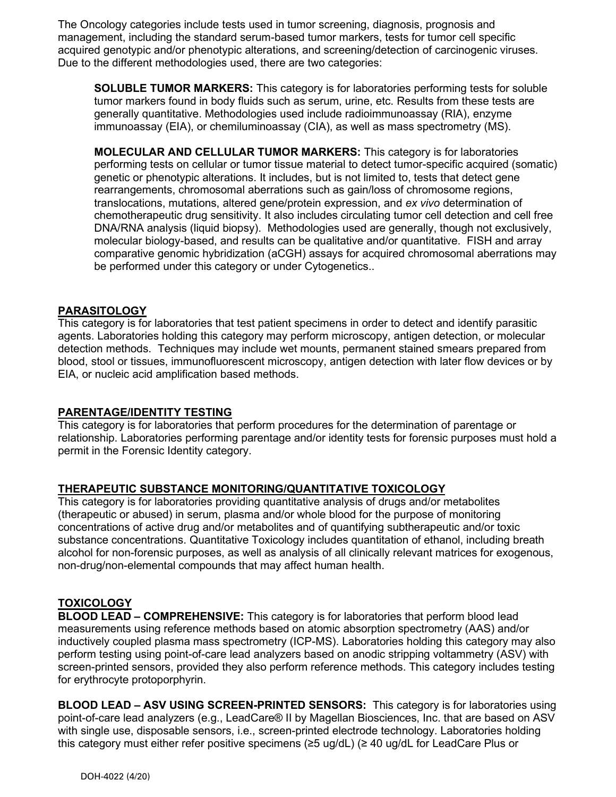The Oncology categories include tests used in tumor screening, diagnosis, prognosis and management, including the standard serum-based tumor markers, tests for tumor cell specific acquired genotypic and/or phenotypic alterations, and screening/detection of carcinogenic viruses. Due to the different methodologies used, there are two categories:

**SOLUBLE TUMOR MARKERS:** This category is for laboratories performing tests for soluble tumor markers found in body fluids such as serum, urine, etc. Results from these tests are generally quantitative. Methodologies used include radioimmunoassay (RIA), enzyme immunoassay (EIA), or chemiluminoassay (CIA), as well as mass spectrometry (MS).

**MOLECULAR AND CELLULAR TUMOR MARKERS:** This category is for laboratories performing tests on cellular or tumor tissue material to detect tumor-specific acquired (somatic) genetic or phenotypic alterations. It includes, but is not limited to, tests that detect gene rearrangements, chromosomal aberrations such as gain/loss of chromosome regions, translocations, mutations, altered gene/protein expression, and *ex vivo* determination of chemotherapeutic drug sensitivity. It also includes circulating tumor cell detection and cell free DNA/RNA analysis (liquid biopsy). Methodologies used are generally, though not exclusively, molecular biology-based, and results can be qualitative and/or quantitative. FISH and array comparative genomic hybridization (aCGH) assays for acquired chromosomal aberrations may be performed under this category or under Cytogenetics..

# **PARASITOLOGY**

This category is for laboratories that test patient specimens in order to detect and identify parasitic agents. Laboratories holding this category may perform microscopy, antigen detection, or molecular detection methods. Techniques may include wet mounts, permanent stained smears prepared from blood, stool or tissues, immunofluorescent microscopy, antigen detection with later flow devices or by EIA, or nucleic acid amplification based methods.

#### **PARENTAGE/IDENTITY TESTING**

This category is for laboratories that perform procedures for the determination of parentage or relationship. Laboratories performing parentage and/or identity tests for forensic purposes must hold a permit in the Forensic Identity category.

# **THERAPEUTIC SUBSTANCE MONITORING/QUANTITATIVE TOXICOLOGY**

This category is for laboratories providing quantitative analysis of drugs and/or metabolites (therapeutic or abused) in serum, plasma and/or whole blood for the purpose of monitoring concentrations of active drug and/or metabolites and of quantifying subtherapeutic and/or toxic substance concentrations. Quantitative Toxicology includes quantitation of ethanol, including breath alcohol for non-forensic purposes, as well as analysis of all clinically relevant matrices for exogenous, non-drug/non-elemental compounds that may affect human health.

# **TOXICOLOGY**

**BLOOD LEAD – COMPREHENSIVE:** This category is for laboratories that perform blood lead measurements using reference methods based on atomic absorption spectrometry (AAS) and/or inductively coupled plasma mass spectrometry (ICP-MS). Laboratories holding this category may also perform testing using point-of-care lead analyzers based on anodic stripping voltammetry (ASV) with screen-printed sensors, provided they also perform reference methods. This category includes testing for erythrocyte protoporphyrin.

**BLOOD LEAD – ASV USING SCREEN-PRINTED SENSORS:** This category is for laboratories using point-of-care lead analyzers (e.g., LeadCare® II by Magellan Biosciences, Inc. that are based on ASV with single use, disposable sensors, i.e., screen-printed electrode technology. Laboratories holding this category must either refer positive specimens (≥5 ug/dL) (≥ 40 ug/dL for LeadCare Plus or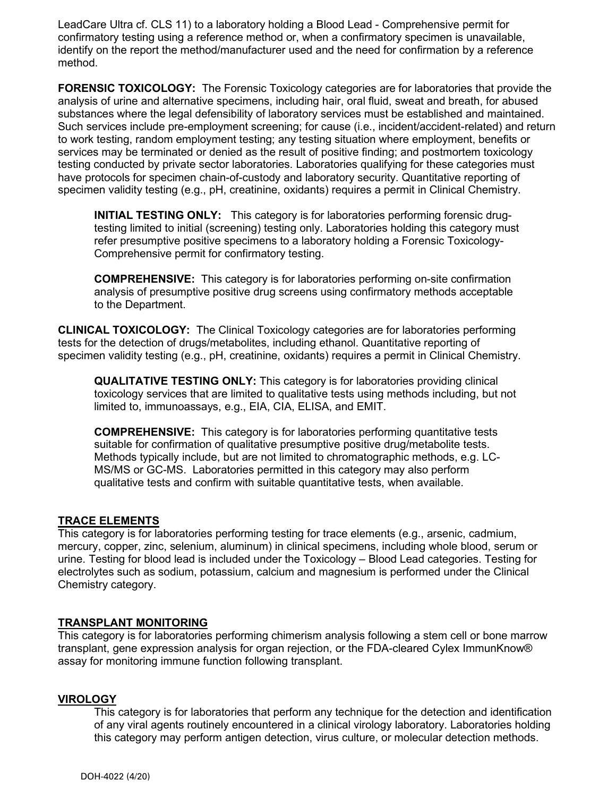LeadCare Ultra cf. CLS 11) to a laboratory holding a Blood Lead - Comprehensive permit for confirmatory testing using a reference method or, when a confirmatory specimen is unavailable, identify on the report the method/manufacturer used and the need for confirmation by a reference method.

**FORENSIC TOXICOLOGY:** The Forensic Toxicology categories are for laboratories that provide the analysis of urine and alternative specimens, including hair, oral fluid, sweat and breath, for abused substances where the legal defensibility of laboratory services must be established and maintained. Such services include pre-employment screening; for cause (i.e., incident/accident-related) and return to work testing, random employment testing; any testing situation where employment, benefits or services may be terminated or denied as the result of positive finding; and postmortem toxicology testing conducted by private sector laboratories. Laboratories qualifying for these categories must have protocols for specimen chain-of-custody and laboratory security. Quantitative reporting of specimen validity testing (e.g., pH, creatinine, oxidants) requires a permit in Clinical Chemistry.

**INITIAL TESTING ONLY:** This category is for laboratories performing forensic drugtesting limited to initial (screening) testing only. Laboratories holding this category must refer presumptive positive specimens to a laboratory holding a Forensic Toxicology-Comprehensive permit for confirmatory testing.

**COMPREHENSIVE:** This category is for laboratories performing on-site confirmation analysis of presumptive positive drug screens using confirmatory methods acceptable to the Department.

**CLINICAL TOXICOLOGY:** The Clinical Toxicology categories are for laboratories performing tests for the detection of drugs/metabolites, including ethanol. Quantitative reporting of specimen validity testing (e.g., pH, creatinine, oxidants) requires a permit in Clinical Chemistry.

**QUALITATIVE TESTING ONLY:** This category is for laboratories providing clinical toxicology services that are limited to qualitative tests using methods including, but not limited to, immunoassays, e.g., EIA, CIA, ELISA, and EMIT.

**COMPREHENSIVE:** This category is for laboratories performing quantitative tests suitable for confirmation of qualitative presumptive positive drug/metabolite tests. Methods typically include, but are not limited to chromatographic methods, e.g. LC-MS/MS or GC-MS. Laboratories permitted in this category may also perform qualitative tests and confirm with suitable quantitative tests, when available.

#### **TRACE ELEMENTS**

This category is for laboratories performing testing for trace elements (e.g., arsenic, cadmium, mercury, copper, zinc, selenium, aluminum) in clinical specimens, including whole blood, serum or urine. Testing for blood lead is included under the Toxicology – Blood Lead categories. Testing for electrolytes such as sodium, potassium, calcium and magnesium is performed under the Clinical Chemistry category.

# **TRANSPLANT MONITORING**

This category is for laboratories performing chimerism analysis following a stem cell or bone marrow transplant, gene expression analysis for organ rejection, or the FDA-cleared Cylex ImmunKnow® assay for monitoring immune function following transplant.

#### **VIROLOGY**

This category is for laboratories that perform any technique for the detection and identification of any viral agents routinely encountered in a clinical virology laboratory. Laboratories holding this category may perform antigen detection, virus culture, or molecular detection methods.